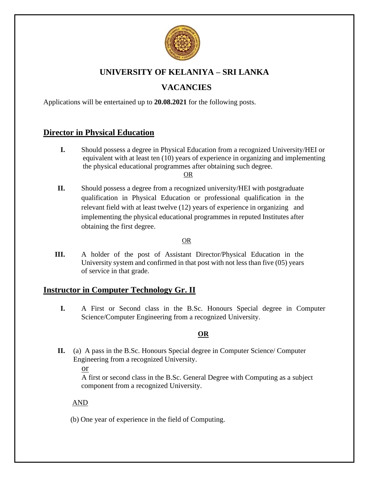

# **UNIVERSITY OF KELANIYA – SRI LANKA**

# **VACANCIES**

Applications will be entertained up to **20.08.2021** for the following posts.

## **Director in Physical Education**

**I.** Should possess a degree in Physical Education from a recognized University/HEI or equivalent with at least ten (10) years of experience in organizing and implementing the physical educational programmes after obtaining such degree. **OR** Service State Street Street Street Street Street Street Street Street Street Street Street Street Street Street Street Street Street Street Street Street Street Street Street Street Street Street Street Street Street

**II.** Should possess a degree from a recognized university/HEI with postgraduate qualification in Physical Education or professional qualification in the relevant field with at least twelve (12) years of experience in organizing and implementing the physical educational programmes in reputed Institutes after obtaining the first degree.

## OR

**III.** A holder of the post of Assistant Director/Physical Education in the University system and confirmed in that post with not less than five (05) years of service in that grade.

## **Instructor in Computer Technology Gr. II**

**I.** A First or Second class in the B.Sc. Honours Special degree in Computer Science/Computer Engineering from a recognized University.

## **OR**

**II.** (a) A pass in the B.Sc. Honours Special degree in Computer Science/ Computer Engineering from a recognized University.

or

 A first or second class in the B.Sc. General Degree with Computing as a subject component from a recognized University.

## AND

(b) One year of experience in the field of Computing.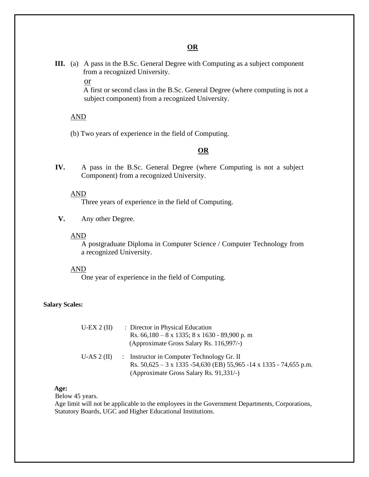## **OR**

**III.** (a) A pass in the B.Sc. General Degree with Computing as a subject component from a recognized University.

or

 A first or second class in the B.Sc. General Degree (where computing is not a subject component) from a recognized University.

## AND

(b) Two years of experience in the field of Computing.

## **OR**

**IV.** A pass in the B.Sc. General Degree (where Computing is not a subject Component) from a recognized University.

#### AND

Three years of experience in the field of Computing.

**V.** Any other Degree.

#### AND

A postgraduate Diploma in Computer Science / Computer Technology from a recognized University.

#### AND

One year of experience in the field of Computing.

#### **Salary Scales:**

| U-EX $2$ (II) | : Director in Physical Education<br>Rs. $66,180 - 8 \times 1335$ ; $8 \times 1630 - 89,900$ p. m<br>(Approximate Gross Salary Rs. 116,997/-)                                |
|---------------|-----------------------------------------------------------------------------------------------------------------------------------------------------------------------------|
| U-AS $2$ (II) | : Instructor in Computer Technology Gr. II<br>Rs. $50,625 - 3 \times 1335 - 54,630$ (EB) $55,965 - 14 \times 1335 - 74,655$ p.m.<br>(Approximate Gross Salary Rs. 91,331/-) |

#### **Age:**

Below 45 years.

Age limit will not be applicable to the employees in the Government Departments, Corporations, Statutory Boards, UGC and Higher Educational Institutions.